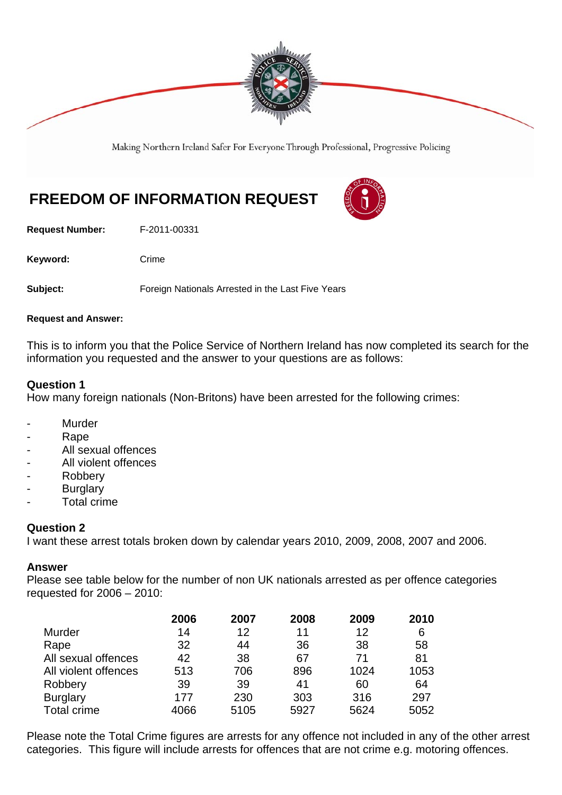

Making Northern Ireland Safer For Everyone Through Professional, Progressive Policing

# **FREEDOM OF INFORMATION REQUEST**

**Request Number:** F-2011-00331

Keyword: Crime

**Subject:** Foreign Nationals Arrested in the Last Five Years

#### **Request and Answer:**

This is to inform you that the Police Service of Northern Ireland has now completed its search for the information you requested and the answer to your questions are as follows:

### **Question 1**

How many foreign nationals (Non-Britons) have been arrested for the following crimes:

- **Murder**
- Rape
- All sexual offences
- All violent offences
- **Robbery**
- **Burglary**
- Total crime

## **Question 2**

I want these arrest totals broken down by calendar years 2010, 2009, 2008, 2007 and 2006.

#### **Answer**

Please see table below for the number of non UK nationals arrested as per offence categories requested for 2006 – 2010:

|                      | 2006 | 2007 | 2008 | 2009 | 2010 |
|----------------------|------|------|------|------|------|
| Murder               | 14   | 12   | 11   | 12   | 6    |
| Rape                 | 32   | 44   | 36   | 38   | 58   |
| All sexual offences  | 42   | 38   | 67   | 71   | 81   |
| All violent offences | 513  | 706  | 896  | 1024 | 1053 |
| Robbery              | 39   | 39   | 41   | 60   | 64   |
| <b>Burglary</b>      | 177  | 230  | 303  | 316  | 297  |
| Total crime          | 4066 | 5105 | 5927 | 5624 | 5052 |

Please note the Total Crime figures are arrests for any offence not included in any of the other arrest categories. This figure will include arrests for offences that are not crime e.g. motoring offences.